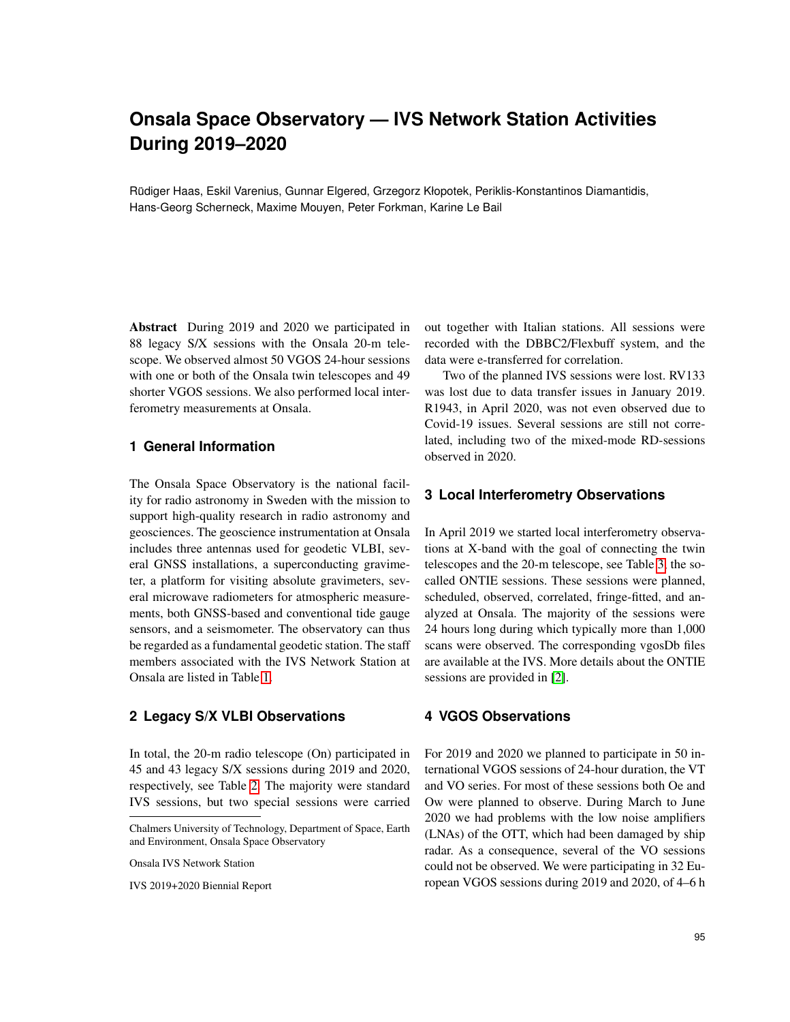# **Onsala Space Observatory — IVS Network Station Activities During 2019–2020**

Rüdiger Haas, Eskil Varenius, Gunnar Elgered, Grzegorz Kłopotek, Periklis-Konstantinos Diamantidis, Hans-Georg Scherneck, Maxime Mouyen, Peter Forkman, Karine Le Bail

Abstract During 2019 and 2020 we participated in 88 legacy S/X sessions with the Onsala 20-m telescope. We observed almost 50 VGOS 24-hour sessions with one or both of the Onsala twin telescopes and 49 shorter VGOS sessions. We also performed local interferometry measurements at Onsala.

### **1 General Information**

The Onsala Space Observatory is the national facility for radio astronomy in Sweden with the mission to support high-quality research in radio astronomy and geosciences. The geoscience instrumentation at Onsala includes three antennas used for geodetic VLBI, several GNSS installations, a superconducting gravimeter, a platform for visiting absolute gravimeters, several microwave radiometers for atmospheric measurements, both GNSS-based and conventional tide gauge sensors, and a seismometer. The observatory can thus be regarded as a fundamental geodetic station. The staff members associated with the IVS Network Station at Onsala are listed in Table [1.](#page-1-0)

## **2 Legacy S/X VLBI Observations**

In total, the 20-m radio telescope (On) participated in 45 and 43 legacy S/X sessions during 2019 and 2020, respectively, see Table [2.](#page-2-0) The majority were standard IVS sessions, but two special sessions were carried

Onsala IVS Network Station

IVS 2019+2020 Biennial Report

out together with Italian stations. All sessions were recorded with the DBBC2/Flexbuff system, and the data were e-transferred for correlation.

Two of the planned IVS sessions were lost. RV133 was lost due to data transfer issues in January 2019. R1943, in April 2020, was not even observed due to Covid-19 issues. Several sessions are still not correlated, including two of the mixed-mode RD-sessions observed in 2020.

#### **3 Local Interferometry Observations**

In April 2019 we started local interferometry observations at X-band with the goal of connecting the twin telescopes and the 20-m telescope, see Table [3,](#page-3-0) the socalled ONTIE sessions. These sessions were planned, scheduled, observed, correlated, fringe-fitted, and analyzed at Onsala. The majority of the sessions were 24 hours long during which typically more than 1,000 scans were observed. The corresponding vgosDb files are available at the IVS. More details about the ONTIE sessions are provided in [\[2\]](#page-3-1).

## **4 VGOS Observations**

For 2019 and 2020 we planned to participate in 50 international VGOS sessions of 24-hour duration, the VT and VO series. For most of these sessions both Oe and Ow were planned to observe. During March to June 2020 we had problems with the low noise amplifiers (LNAs) of the OTT, which had been damaged by ship radar. As a consequence, several of the VO sessions could not be observed. We were participating in 32 European VGOS sessions during 2019 and 2020, of 4–6 h

Chalmers University of Technology, Department of Space, Earth and Environment, Onsala Space Observatory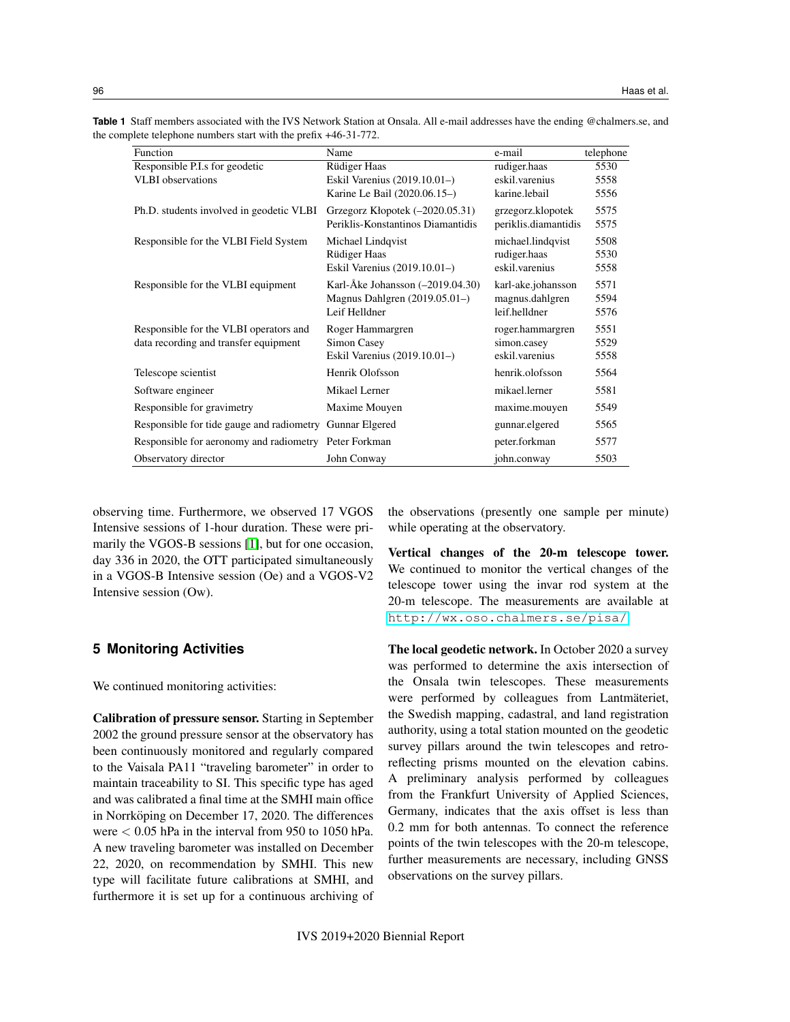|  | Table 1 Staff members associated with the IVS Network Station at Onsala. All e-mail addresses have the ending @chalmers.se, and |  |  |  |  |
|--|---------------------------------------------------------------------------------------------------------------------------------|--|--|--|--|
|  | the complete telephone numbers start with the prefix $+46-31-772$ .                                                             |  |  |  |  |

<span id="page-1-0"></span>

| Function                                                 | Name                               | e-mail               | telephone |
|----------------------------------------------------------|------------------------------------|----------------------|-----------|
| Responsible P.I.s for geodetic                           | <b>Rüdiger Haas</b>                | rudiger.haas         | 5530      |
| <b>VLBI</b> observations                                 | Eskil Varenius (2019.10.01-)       | eskil.varenius       | 5558      |
|                                                          | Karine Le Bail (2020.06.15–)       | karine.lebail        | 5556      |
| Ph.D. students involved in geodetic VLBI                 | Grzegorz Kłopotek (-2020.05.31)    | grzegorz.klopotek    | 5575      |
|                                                          | Periklis-Konstantinos Diamantidis  | periklis.diamantidis | 5575      |
| Responsible for the VLBI Field System                    | Michael Lindqvist                  | michael.lindqvist    | 5508      |
|                                                          | Rüdiger Haas                       | rudiger.haas         | 5530      |
|                                                          | Eskil Varenius (2019.10.01-)       | eskil.varenius       | 5558      |
| Responsible for the VLBI equipment                       | Karl-Åke Johansson $(-2019.04.30)$ | karl-ake.johansson   | 5571      |
|                                                          | Magnus Dahlgren $(2019.05.01-)$    | magnus.dahlgren      | 5594      |
|                                                          | Leif Helldner                      | leif.helldner        | 5576      |
| Responsible for the VLBI operators and                   | Roger Hammargren                   | roger.hammargren     | 5551      |
| data recording and transfer equipment                    | Simon Casey                        | simon.casey          | 5529      |
|                                                          | Eskil Varenius (2019.10.01–)       | eskil.varenius       | 5558      |
| Telescope scientist                                      | Henrik Olofsson                    | henrik.olofsson      | 5564      |
| Software engineer                                        | Mikael Lerner                      | mikael.lerner        | 5581      |
| Responsible for gravimetry                               | Maxime Mouyen                      | maxime.mouyen        | 5549      |
| Responsible for tide gauge and radiometry Gunnar Elgered |                                    | gunnar.elgered       | 5565      |
| Responsible for aeronomy and radiometry Peter Forkman    |                                    | peter.forkman        | 5577      |
| Observatory director                                     | John Conway                        | john.conway          | 5503      |

observing time. Furthermore, we observed 17 VGOS Intensive sessions of 1-hour duration. These were primarily the VGOS-B sessions [\[1\]](#page-3-2), but for one occasion, day 336 in 2020, the OTT participated simultaneously in a VGOS-B Intensive session (Oe) and a VGOS-V2 Intensive session (Ow).

#### **5 Monitoring Activities**

We continued monitoring activities:

Calibration of pressure sensor. Starting in September 2002 the ground pressure sensor at the observatory has been continuously monitored and regularly compared to the Vaisala PA11 "traveling barometer" in order to maintain traceability to SI. This specific type has aged and was calibrated a final time at the SMHI main office in Norrköping on December 17, 2020. The differences were < 0.05 hPa in the interval from 950 to 1050 hPa. A new traveling barometer was installed on December 22, 2020, on recommendation by SMHI. This new type will facilitate future calibrations at SMHI, and furthermore it is set up for a continuous archiving of the observations (presently one sample per minute) while operating at the observatory.

Vertical changes of the 20-m telescope tower. We continued to monitor the vertical changes of the telescope tower using the invar rod system at the 20-m telescope. The measurements are available at <http://wx.oso.chalmers.se/pisa/>.

The local geodetic network. In October 2020 a survey was performed to determine the axis intersection of the Onsala twin telescopes. These measurements were performed by colleagues from Lantmäteriet, the Swedish mapping, cadastral, and land registration authority, using a total station mounted on the geodetic survey pillars around the twin telescopes and retroreflecting prisms mounted on the elevation cabins. A preliminary analysis performed by colleagues from the Frankfurt University of Applied Sciences, Germany, indicates that the axis offset is less than 0.2 mm for both antennas. To connect the reference points of the twin telescopes with the 20-m telescope, further measurements are necessary, including GNSS observations on the survey pillars.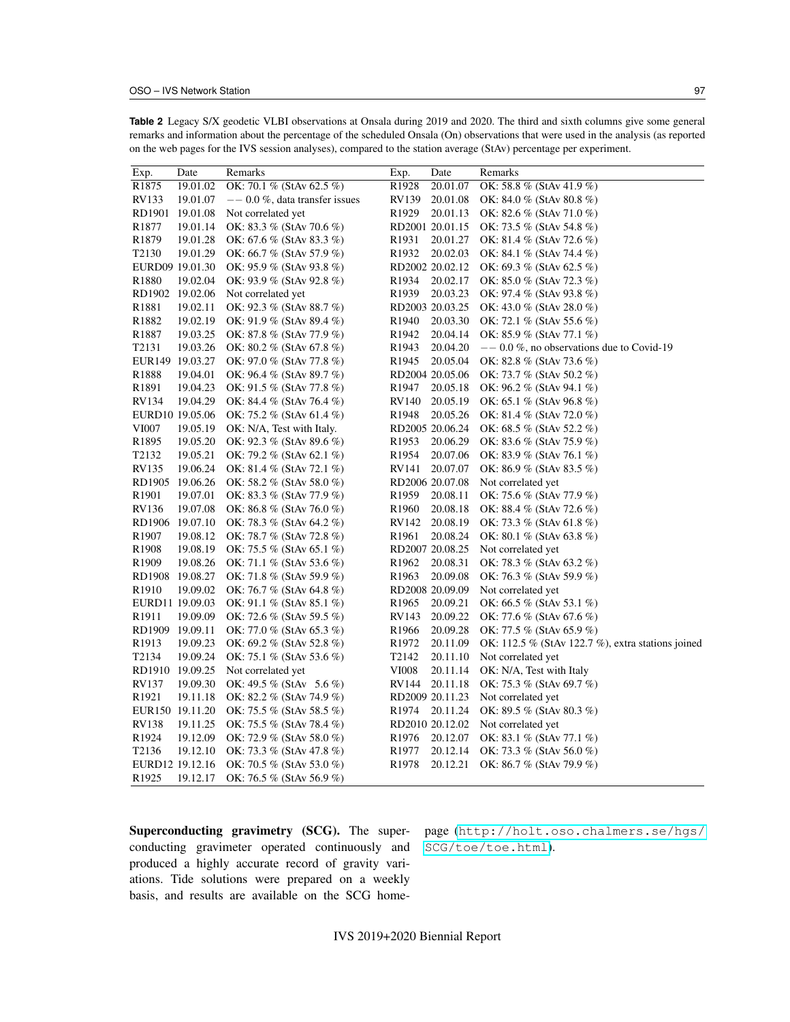|                                |                 | of for the 14.5 belong analyses), compared to the station average (Bu 17) percentage per enp |                    |                 |                                                   |
|--------------------------------|-----------------|----------------------------------------------------------------------------------------------|--------------------|-----------------|---------------------------------------------------|
| Exp.                           | Date            | Remarks                                                                                      | Exp.               | Date            | Remarks                                           |
| R <sub>1875</sub>              | 19.01.02        | OK: 70.1 % (StAv 62.5 %)                                                                     | R <sub>1928</sub>  | 20.01.07        | OK: 58.8 % (StAv 41.9 %)                          |
| RV133                          | 19.01.07        | $--$ 0.0 %, data transfer issues                                                             | RV139              | 20.01.08        | OK: 84.0 % (StAv 80.8 %)                          |
| RD1901                         | 19.01.08        | Not correlated yet                                                                           | R <sub>1929</sub>  | 20.01.13        | OK: 82.6 % (StAv 71.0 %)                          |
| R <sub>1877</sub>              | 19.01.14        | OK: 83.3 % (StAv 70.6 %)                                                                     |                    | RD2001 20.01.15 | OK: 73.5 % (StAv 54.8 %)                          |
| R <sub>1879</sub>              | 19.01.28        | OK: 67.6 % (StAv 83.3 %)                                                                     | R <sub>1931</sub>  | 20.01.27        | OK: 81.4 % (StAv 72.6 %)                          |
| T <sub>2</sub> 130             | 19.01.29        | OK: 66.7 % (StAv 57.9 %)                                                                     | R1932              | 20.02.03        | OK: 84.1 % (StAv 74.4 %)                          |
|                                | EURD09 19.01.30 | OK: 95.9 % (StAv 93.8 %)                                                                     |                    | RD2002 20.02.12 | OK: 69.3 % (StAv 62.5 %)                          |
| R <sub>1880</sub>              | 19.02.04        | OK: 93.9 % (StAv 92.8 %)                                                                     | R <sub>1934</sub>  | 20.02.17        | OK: $85.0 \%$ (StAv 72.3 %)                       |
|                                | RD1902 19.02.06 | Not correlated yet                                                                           | R <sub>1939</sub>  | 20.03.23        | OK: 97.4 % (StAv 93.8 %)                          |
| R <sub>1881</sub>              | 19.02.11        | OK: 92.3 % (StAv 88.7 %)                                                                     |                    | RD2003 20.03.25 | OK: 43.0 % (StAv 28.0 %)                          |
| R <sub>1882</sub>              | 19.02.19        | OK: 91.9 % (StAv 89.4 %)                                                                     | R <sub>1940</sub>  | 20.03.30        | OK: 72.1 % (StAv 55.6 %)                          |
| R <sub>1887</sub>              | 19.03.25        | OK: 87.8 % (StAv 77.9 %)                                                                     | R <sub>1942</sub>  | 20.04.14        | OK: 85.9 % (StAv 77.1 %)                          |
| T2131                          | 19.03.26        | OK: $80.2 \%$ (StAv 67.8 %)                                                                  | R <sub>1943</sub>  | 20.04.20        | $-$ 0.0 %, no observations due to Covid-19        |
|                                | EUR149 19.03.27 | OK: 97.0 % (StAv 77.8 %)                                                                     | R <sub>1945</sub>  | 20.05.04        | OK: 82.8 % (StAv 73.6 %)                          |
| R1888                          | 19.04.01        | OK: 96.4 % (StAv 89.7 %)                                                                     |                    | RD2004 20.05.06 | OK: 73.7 % (StAv 50.2 %)                          |
| R1891                          | 19.04.23        | OK: 91.5 % (StAv 77.8 %)                                                                     | R <sub>1947</sub>  | 20.05.18        | OK: 96.2 % (StAv 94.1 %)                          |
| RV134                          | 19.04.29        | OK: 84.4 % (StAv 76.4 %)                                                                     | RV140              | 20.05.19        | OK: 65.1 % (StAv 96.8 %)                          |
|                                | EURD10 19.05.06 | OK: 75.2 % (StAv 61.4 %)                                                                     | R <sub>1948</sub>  | 20.05.26        | OK: 81.4 % (StAv 72.0 %)                          |
| VI007                          | 19.05.19        | OK: N/A, Test with Italy.                                                                    |                    | RD2005 20.06.24 | OK: $68.5\%$ (StAv 52.2 %)                        |
| R1895                          | 19.05.20        | OK: 92.3 % (StAv 89.6 %)                                                                     | R <sub>1953</sub>  | 20.06.29        | OK: 83.6 % (StAv 75.9 %)                          |
| T <sub>2</sub> 13 <sub>2</sub> | 19.05.21        | OK: 79.2 % (StAv 62.1 %)                                                                     | R <sub>1954</sub>  | 20.07.06        | OK: 83.9 % (StAv 76.1 %)                          |
| RV135                          | 19.06.24        | OK: 81.4 % (StAv 72.1 %)                                                                     | RV141              | 20.07.07        | OK: 86.9 % (StAv 83.5 %)                          |
| RD1905                         | 19.06.26        | OK: 58.2 % (StAv 58.0 %)                                                                     |                    | RD2006 20.07.08 | Not correlated yet                                |
| R <sub>1901</sub>              | 19.07.01        | OK: 83.3 % (StAv 77.9 %)                                                                     | R <sub>1959</sub>  | 20.08.11        | OK: 75.6 % (StAv 77.9 %)                          |
| <b>RV136</b>                   | 19.07.08        | OK: 86.8 % (StAv 76.0 %)                                                                     | R <sub>1960</sub>  | 20.08.18        | OK: 88.4 % (StAv 72.6 %)                          |
| RD1906                         | 19.07.10        | OK: 78.3 % (StAv 64.2 %)                                                                     | RV142              | 20.08.19        | OK: 73.3 % (StAv 61.8 %)                          |
| R <sub>1907</sub>              | 19.08.12        | OK: 78.7 % (StAv 72.8 %)                                                                     | R <sub>1961</sub>  | 20.08.24        | OK: 80.1 % (StAv 63.8 %)                          |
| R1908                          | 19.08.19        | OK: 75.5 % (StAv 65.1 %)                                                                     |                    | RD2007 20.08.25 | Not correlated yet                                |
| R <sub>1909</sub>              | 19.08.26        | OK: 71.1 % (StAv 53.6 %)                                                                     | R <sub>1962</sub>  | 20.08.31        | OK: 78.3 % (StAv 63.2 %)                          |
|                                | RD1908 19.08.27 | OK: 71.8 % (StAv 59.9 %)                                                                     | R <sub>1963</sub>  | 20.09.08        | OK: 76.3 % (StAv 59.9 %)                          |
| R <sub>1910</sub>              | 19.09.02        | OK: 76.7 % (StAv 64.8 %)                                                                     |                    | RD2008 20.09.09 | Not correlated yet                                |
|                                | EURD11 19.09.03 | OK: 91.1 % (StAv 85.1 %)                                                                     | R <sub>1965</sub>  | 20.09.21        | OK: 66.5 % (StAv 53.1 %)                          |
| R <sub>1911</sub>              | 19.09.09        | OK: 72.6 % (StAv 59.5 %)                                                                     | RV143              | 20.09.22        | OK: 77.6 % (StAv 67.6 %)                          |
| RD1909 19.09.11                |                 | OK: 77.0 % (StAv 65.3 %)                                                                     | R <sub>1966</sub>  | 20.09.28        | OK: 77.5 % (StAv 65.9 %)                          |
| R <sub>1913</sub>              | 19.09.23        | OK: 69.2 % (StAv 52.8 %)                                                                     | R <sub>1972</sub>  | 20.11.09        | OK: 112.5 % (StAv 122.7 %), extra stations joined |
| T <sub>2</sub> 134             | 19.09.24        | OK: 75.1 % (StAv 53.6 %)                                                                     | T <sub>2</sub> 142 | 20.11.10        |                                                   |
|                                |                 |                                                                                              |                    |                 | Not correlated yet                                |
|                                | RD1910 19.09.25 | Not correlated yet                                                                           | <b>VI008</b>       | 20.11.14        | OK: N/A, Test with Italy                          |
| RV137                          | 19.09.30        | OK: 49.5 % (StAv 5.6 %)                                                                      | RV144              | 20.11.18        | OK: 75.3 % (StAv 69.7 %)                          |
| R <sub>1921</sub>              | 19.11.18        | OK: 82.2 % (StAv 74.9 %)                                                                     |                    | RD2009 20.11.23 | Not correlated yet                                |
|                                | EUR150 19.11.20 | OK: 75.5 % (StAv 58.5 %)                                                                     | R <sub>1974</sub>  | 20.11.24        | OK: 89.5 % (StAv 80.3 %)                          |
| RV138                          | 19.11.25        | OK: 75.5 % (StAv 78.4 %)                                                                     |                    | RD2010 20.12.02 | Not correlated yet                                |
| R <sub>1924</sub>              | 19.12.09        | OK: 72.9 % (StAv 58.0 %)                                                                     | R <sub>1976</sub>  | 20.12.07        | OK: 83.1 % (StAv 77.1 %)                          |
| T <sub>2136</sub>              | 19.12.10        | OK: 73.3 % (StAv 47.8 %)                                                                     | R <sub>1977</sub>  | 20.12.14        | OK: 73.3 % (StAv 56.0 %)                          |
|                                | EURD12 19.12.16 | OK: 70.5 % (StAv 53.0 %)                                                                     | R <sub>1978</sub>  | 20.12.21        | OK: 86.7 % (StAv 79.9 %)                          |

<span id="page-2-0"></span>**Table 2** Legacy S/X geodetic VLBI observations at Onsala during 2019 and 2020. The third and sixth columns give some general remarks and information about the percentage of the scheduled Onsala (On) observations that were used in the analysis (as reported on the web pages for the IVS session analyses), compared to the station average (StAv) percentage per experiment.

Superconducting gravimetry (SCG). The superconducting gravimeter operated continuously and produced a highly accurate record of gravity variations. Tide solutions were prepared on a weekly basis, and results are available on the SCG home-

R1925 19.12.17 OK: 76.5 % (StAv 56.9 %)

page ([http://holt.oso.chalmers.se/hgs/](http://holt.oso.chalmers.se/hgs/SCG/toe/toe.html) [SCG/toe/toe.html](http://holt.oso.chalmers.se/hgs/SCG/toe/toe.html)).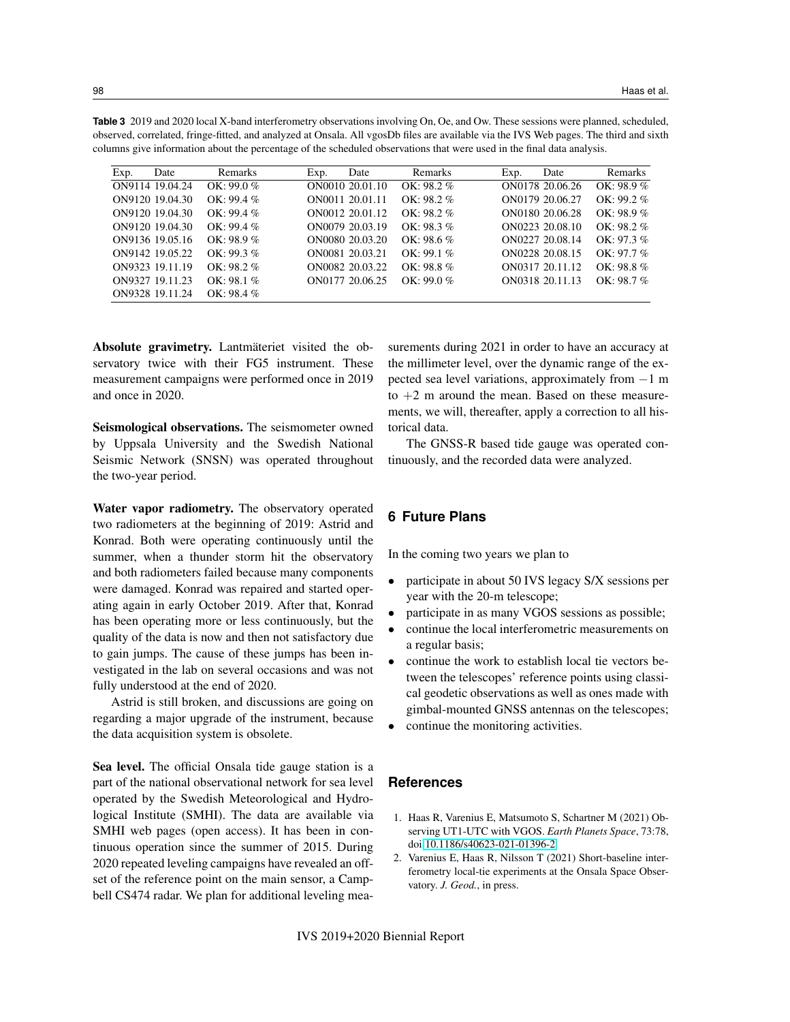<span id="page-3-0"></span>

| <b>Table 3</b> 2019 and 2020 local X-band interferometry observations involving On, Oe, and Ow. These sessions were planned, scheduled, |
|-----------------------------------------------------------------------------------------------------------------------------------------|
| observed, correlated, fringe-fitted, and analyzed at Onsala. All vgosDb files are available via the IVS Web pages. The third and sixth  |
| columns give information about the percentage of the scheduled observations that were used in the final data analysis.                  |
|                                                                                                                                         |

| Exp. | Date            | Remarks       | Exp. | Date            | Remarks       | Exp. | Date            | Remarks       |
|------|-----------------|---------------|------|-----------------|---------------|------|-----------------|---------------|
|      | ON9114 19.04.24 | $OK: 99.0\%$  |      | ON0010 20.01.10 | $OK: 98.2 \%$ |      | ON0178 20.06.26 | $OK: 98.9\%$  |
|      | ON9120 19.04.30 | $OK: 99.4 \%$ |      | ON0011 20.01.11 | $OK: 98.2 \%$ |      | ON0179 20.06.27 | $OK: 99.2\%$  |
|      | ON9120 19.04.30 | $OK: 99.4 \%$ |      | ON0012 20.01.12 | $OK: 98.2 \%$ |      | ON0180 20.06.28 | $OK: 98.9\%$  |
|      | ON9120 19.04.30 | $OK: 99.4 \%$ |      | ON0079 20.03.19 | $OK: 98.3 \%$ |      | ON0223 20.08.10 | $OK: 98.2 \%$ |
|      | ON9136 19.05.16 | $OK: 98.9 \%$ |      | ON0080 20.03.20 | $OK: 98.6 \%$ |      | ON0227 20.08.14 | $OK: 97.3\%$  |
|      | ON9142 19.05.22 | $OK: 99.3\%$  |      | ON0081 20.03.21 | $OK: 99.1\%$  |      | ON0228 20.08.15 | $OK: 97.7\%$  |
|      | ON9323 19.11.19 | $OK: 98.2 \%$ |      | ON0082 20.03.22 | $OK: 98.8 \%$ |      | ON0317 20.11.12 | $OK: 98.8 \%$ |
|      | ON9327 19.11.23 | $OK: 98.1 \%$ |      | ON0177 20.06.25 | $OK: 99.0\%$  |      | ON0318 20.11.13 | $OK: 98.7\%$  |
|      | ON9328 19.11.24 | $OK: 98.4 \%$ |      |                 |               |      |                 |               |

Absolute gravimetry. Lantmäteriet visited the observatory twice with their FG5 instrument. These measurement campaigns were performed once in 2019 and once in 2020.

Seismological observations. The seismometer owned by Uppsala University and the Swedish National Seismic Network (SNSN) was operated throughout the two-year period.

Water vapor radiometry. The observatory operated two radiometers at the beginning of 2019: Astrid and Konrad. Both were operating continuously until the summer, when a thunder storm hit the observatory and both radiometers failed because many components were damaged. Konrad was repaired and started operating again in early October 2019. After that, Konrad has been operating more or less continuously, but the quality of the data is now and then not satisfactory due to gain jumps. The cause of these jumps has been investigated in the lab on several occasions and was not fully understood at the end of 2020.

Astrid is still broken, and discussions are going on regarding a major upgrade of the instrument, because the data acquisition system is obsolete.

Sea level. The official Onsala tide gauge station is a part of the national observational network for sea level operated by the Swedish Meteorological and Hydrological Institute (SMHI). The data are available via SMHI web pages (open access). It has been in continuous operation since the summer of 2015. During 2020 repeated leveling campaigns have revealed an offset of the reference point on the main sensor, a Campbell CS474 radar. We plan for additional leveling measurements during 2021 in order to have an accuracy at the millimeter level, over the dynamic range of the expected sea level variations, approximately from −1 m to  $+2$  m around the mean. Based on these measurements, we will, thereafter, apply a correction to all historical data.

The GNSS-R based tide gauge was operated continuously, and the recorded data were analyzed.

## **6 Future Plans**

In the coming two years we plan to

- participate in about 50 IVS legacy S/X sessions per year with the 20-m telescope;
- participate in as many VGOS sessions as possible;
- continue the local interferometric measurements on a regular basis;
- continue the work to establish local tie vectors between the telescopes' reference points using classical geodetic observations as well as ones made with gimbal-mounted GNSS antennas on the telescopes;
- continue the monitoring activities.

#### **References**

- <span id="page-3-2"></span>1. Haas R, Varenius E, Matsumoto S, Schartner M (2021) Observing UT1-UTC with VGOS. *Earth Planets Space*, 73:78, doi[:10.1186/s40623-021-01396-2](https://doi.org/10.1186/s40623-021-01396-2)
- <span id="page-3-1"></span>2. Varenius E, Haas R, Nilsson T (2021) Short-baseline interferometry local-tie experiments at the Onsala Space Observatory. *J. Geod.*, in press.